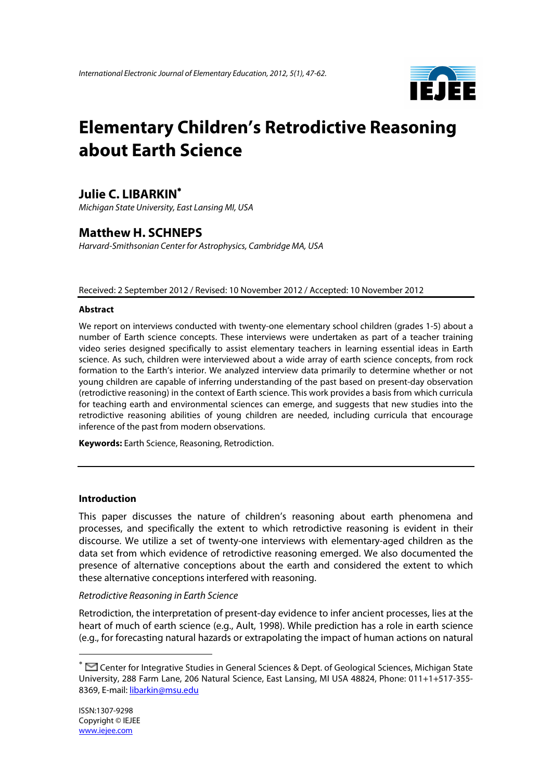

# **Elementary Children's Retrodictive Reasoning about Earth Science**

# **Julie C. LIBARKIN**<sup>∗</sup>

*Michigan State University, East Lansing MI, USA* 

# **Matthew H. SCHNEPS**

*Harvard-Smithsonian Center for Astrophysics, Cambridge MA, USA* 

Received: 2 September 2012 / Revised: 10 November 2012 / Accepted: 10 November 2012

#### **Abstract**

We report on interviews conducted with twenty-one elementary school children (grades 1-5) about a number of Earth science concepts. These interviews were undertaken as part of a teacher training video series designed specifically to assist elementary teachers in learning essential ideas in Earth science. As such, children were interviewed about a wide array of earth science concepts, from rock formation to the Earth's interior. We analyzed interview data primarily to determine whether or not young children are capable of inferring understanding of the past based on present-day observation (retrodictive reasoning) in the context of Earth science. This work provides a basis from which curricula for teaching earth and environmental sciences can emerge, and suggests that new studies into the retrodictive reasoning abilities of young children are needed, including curricula that encourage inference of the past from modern observations.

**Keywords:** Earth Science, Reasoning, Retrodiction.

#### **Introduction**

This paper discusses the nature of children's reasoning about earth phenomena and processes, and specifically the extent to which retrodictive reasoning is evident in their discourse. We utilize a set of twenty-one interviews with elementary-aged children as the data set from which evidence of retrodictive reasoning emerged. We also documented the presence of alternative conceptions about the earth and considered the extent to which these alternative conceptions interfered with reasoning.

#### *Retrodictive Reasoning in Earth Science*

Retrodiction, the interpretation of present-day evidence to infer ancient processes, lies at the heart of much of earth science (e.g., Ault, 1998). While prediction has a role in earth science (e.g., for forecasting natural hazards or extrapolating the impact of human actions on natural

 $\overline{a}$ 

<sup>∗</sup> Center for Integrative Studies in General Sciences & Dept. of Geological Sciences, Michigan State University, 288 Farm Lane, 206 Natural Science, East Lansing, MI USA 48824, Phone: 011+1+517-355- 8369, E-mail: libarkin@msu.edu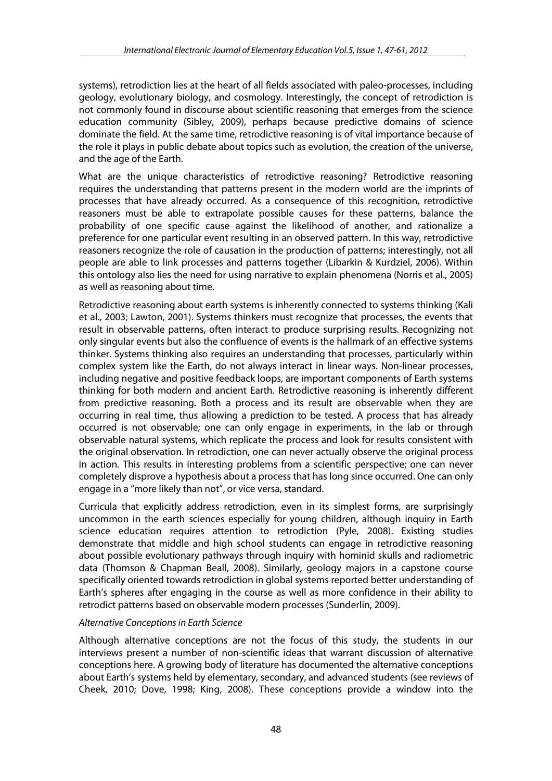systems), retrodiction lies at the heart of all fields associated with paleo-processes, including geology, evolutionary biology, and cosmology. Interestingly, the concept of retrodiction is not commonly found in discourse about scientific reasoning that emerges from the science education community (Sibley, 2009), perhaps because predictive domains of science dominate the field. At the same time, retrodictive reasoning is of vital importance because of the role it plays in public debate about topics such as evolution, the creation of the universe, and the age of the Earth.

What are the unique characteristics of retrodictive reasoning? Retrodictive reasoning requires the understanding that patterns present in the modern world are the imprints of processes that have already occurred. As a consequence of this recognition, retrodictive reasoners must be able to extrapolate possible causes for these patterns, balance the probability of one specific cause against the likelihood of another, and rationalize a preference for one particular event resulting in an observed pattern. In this way, retrodictive reasoners recognize the role of causation in the production of patterns; interestingly, not all people are able to link processes and patterns together (Libarkin & Kurdziel, 2006). Within this ontology also lies the need for using narrative to explain phenomena (Norris et al., 2005) as well as reasoning about time.

Retrodictive reasoning about earth systems is inherently connected to systems thinking (Kali et al., 2003; Lawton, 2001). Systems thinkers must recognize that processes, the events that result in observable patterns, often interact to produce surprising results. Recognizing not only singular events but also the confluence of events is the hallmark of an effective systems thinker. Systems thinking also requires an understanding that processes, particularly within complex system like the Earth, do not always interact in linear ways. Non-linear processes, including negative and positive feedback loops, are important components of Earth systems thinking for both modern and ancient Earth. Retrodictive reasoning is inherently different from predictive reasoning. Both a process and its result are observable when they are occurring in real time, thus allowing a prediction to be tested. A process that has already occurred is not observable; one can only engage in experiments, in the lab or through observable natural systems, which replicate the process and look for results consistent with the original observation. In retrodiction, one can never actually observe the original process in action. This results in interesting problems from a scientific perspective; one can never completely disprove a hypothesis about a process that has long since occurred. One can only engage in a "more likely than not", or vice versa, standard.

Curricula that explicitly address retrodiction, even in its simplest forms, are surprisingly uncommon in the earth sciences especially for young children, although inquiry in Earth science education requires attention to retrodiction (Pyle, 2008). Existing studies demonstrate that middle and high school students can engage in retrodictive reasoning about possible evolutionary pathways through inquiry with hominid skulls and radiometric data (Thomson & Chapman Beall, 2008). Similarly, geology majors in a capstone course specifically oriented towards retrodiction in global systems reported better understanding of Earth's spheres after engaging in the course as well as more confidence in their ability to retrodict patterns based on observable modern processes (Sunderlin, 2009).

#### *Alternative Conceptions in Earth Science*

Although alternative conceptions are not the focus of this study, the students in our interviews present a number of non-scientific ideas that warrant discussion of alternative conceptions here. A growing body of literature has documented the alternative conceptions about Earth's systems held by elementary, secondary, and advanced students (see reviews of Cheek, 2010; Dove, 1998; King, 2008). These conceptions provide a window into the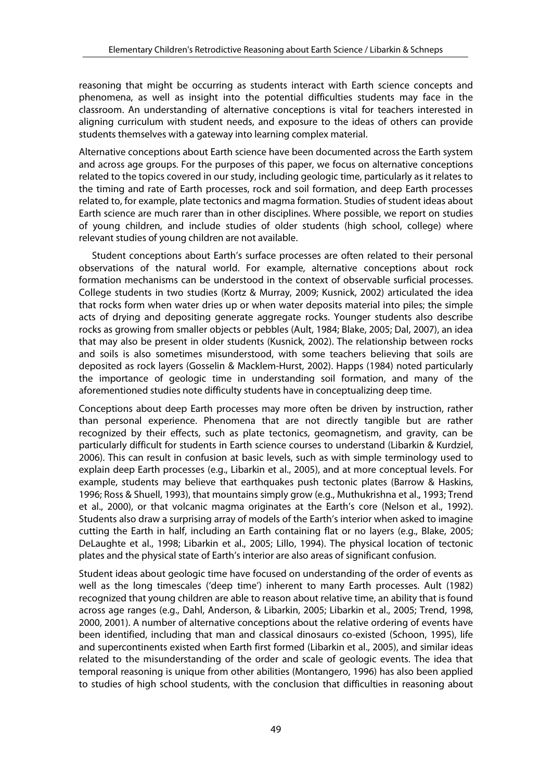reasoning that might be occurring as students interact with Earth science concepts and phenomena, as well as insight into the potential difficulties students may face in the classroom. An understanding of alternative conceptions is vital for teachers interested in aligning curriculum with student needs, and exposure to the ideas of others can provide students themselves with a gateway into learning complex material.

Alternative conceptions about Earth science have been documented across the Earth system and across age groups. For the purposes of this paper, we focus on alternative conceptions related to the topics covered in our study, including geologic time, particularly as it relates to the timing and rate of Earth processes, rock and soil formation, and deep Earth processes related to, for example, plate tectonics and magma formation. Studies of student ideas about Earth science are much rarer than in other disciplines. Where possible, we report on studies of young children, and include studies of older students (high school, college) where relevant studies of young children are not available.

Student conceptions about Earth's surface processes are often related to their personal observations of the natural world. For example, alternative conceptions about rock formation mechanisms can be understood in the context of observable surficial processes. College students in two studies (Kortz & Murray, 2009; Kusnick, 2002) articulated the idea that rocks form when water dries up or when water deposits material into piles; the simple acts of drying and depositing generate aggregate rocks. Younger students also describe rocks as growing from smaller objects or pebbles (Ault, 1984; Blake, 2005; Dal, 2007), an idea that may also be present in older students (Kusnick, 2002). The relationship between rocks and soils is also sometimes misunderstood, with some teachers believing that soils are deposited as rock layers (Gosselin & Macklem-Hurst, 2002). Happs (1984) noted particularly the importance of geologic time in understanding soil formation, and many of the aforementioned studies note difficulty students have in conceptualizing deep time.

Conceptions about deep Earth processes may more often be driven by instruction, rather than personal experience. Phenomena that are not directly tangible but are rather recognized by their effects, such as plate tectonics, geomagnetism, and gravity, can be particularly difficult for students in Earth science courses to understand (Libarkin & Kurdziel, 2006). This can result in confusion at basic levels, such as with simple terminology used to explain deep Earth processes (e.g., Libarkin et al., 2005), and at more conceptual levels. For example, students may believe that earthquakes push tectonic plates (Barrow & Haskins, 1996; Ross & Shuell, 1993), that mountains simply grow (e.g., Muthukrishna et al., 1993; Trend et al., 2000), or that volcanic magma originates at the Earth's core (Nelson et al., 1992). Students also draw a surprising array of models of the Earth's interior when asked to imagine cutting the Earth in half, including an Earth containing flat or no layers (e.g., Blake, 2005; DeLaughte et al., 1998; Libarkin et al., 2005; Lillo, 1994). The physical location of tectonic plates and the physical state of Earth's interior are also areas of significant confusion.

Student ideas about geologic time have focused on understanding of the order of events as well as the long timescales ('deep time') inherent to many Earth processes. Ault (1982) recognized that young children are able to reason about relative time, an ability that is found across age ranges (e.g., Dahl, Anderson, & Libarkin, 2005; Libarkin et al., 2005; Trend, 1998, 2000, 2001). A number of alternative conceptions about the relative ordering of events have been identified, including that man and classical dinosaurs co-existed (Schoon, 1995), life and supercontinents existed when Earth first formed (Libarkin et al., 2005), and similar ideas related to the misunderstanding of the order and scale of geologic events. The idea that temporal reasoning is unique from other abilities (Montangero, 1996) has also been applied to studies of high school students, with the conclusion that difficulties in reasoning about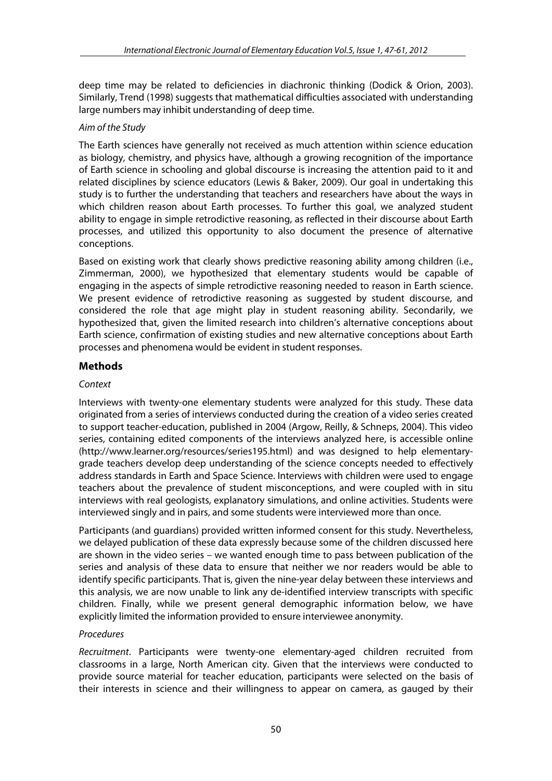deep time may be related to deficiencies in diachronic thinking (Dodick & Orion, 2003). Similarly, Trend (1998) suggests that mathematical difficulties associated with understanding large numbers may inhibit understanding of deep time.

### *Aim of the Study*

The Earth sciences have generally not received as much attention within science education as biology, chemistry, and physics have, although a growing recognition of the importance of Earth science in schooling and global discourse is increasing the attention paid to it and related disciplines by science educators (Lewis & Baker, 2009). Our goal in undertaking this study is to further the understanding that teachers and researchers have about the ways in which children reason about Earth processes. To further this goal, we analyzed student ability to engage in simple retrodictive reasoning, as reflected in their discourse about Earth processes, and utilized this opportunity to also document the presence of alternative conceptions.

Based on existing work that clearly shows predictive reasoning ability among children (i.e., Zimmerman, 2000), we hypothesized that elementary students would be capable of engaging in the aspects of simple retrodictive reasoning needed to reason in Earth science. We present evidence of retrodictive reasoning as suggested by student discourse, and considered the role that age might play in student reasoning ability. Secondarily, we hypothesized that, given the limited research into children's alternative conceptions about Earth science, confirmation of existing studies and new alternative conceptions about Earth processes and phenomena would be evident in student responses.

# **Methods**

## *Context*

Interviews with twenty-one elementary students were analyzed for this study. These data originated from a series of interviews conducted during the creation of a video series created to support teacher-education, published in 2004 (Argow, Reilly, & Schneps, 2004). This video series, containing edited components of the interviews analyzed here, is accessible online (http://www.learner.org/resources/series195.html) and was designed to help elementarygrade teachers develop deep understanding of the science concepts needed to effectively address standards in Earth and Space Science. Interviews with children were used to engage teachers about the prevalence of student misconceptions, and were coupled with in situ interviews with real geologists, explanatory simulations, and online activities. Students were interviewed singly and in pairs, and some students were interviewed more than once.

Participants (and guardians) provided written informed consent for this study. Nevertheless, we delayed publication of these data expressly because some of the children discussed here are shown in the video series – we wanted enough time to pass between publication of the series and analysis of these data to ensure that neither we nor readers would be able to identify specific participants. That is, given the nine-year delay between these interviews and this analysis, we are now unable to link any de-identified interview transcripts with specific children. Finally, while we present general demographic information below, we have explicitly limited the information provided to ensure interviewee anonymity.

#### *Procedures*

*Recruitment*. Participants were twenty-one elementary-aged children recruited from classrooms in a large, North American city. Given that the interviews were conducted to provide source material for teacher education, participants were selected on the basis of their interests in science and their willingness to appear on camera, as gauged by their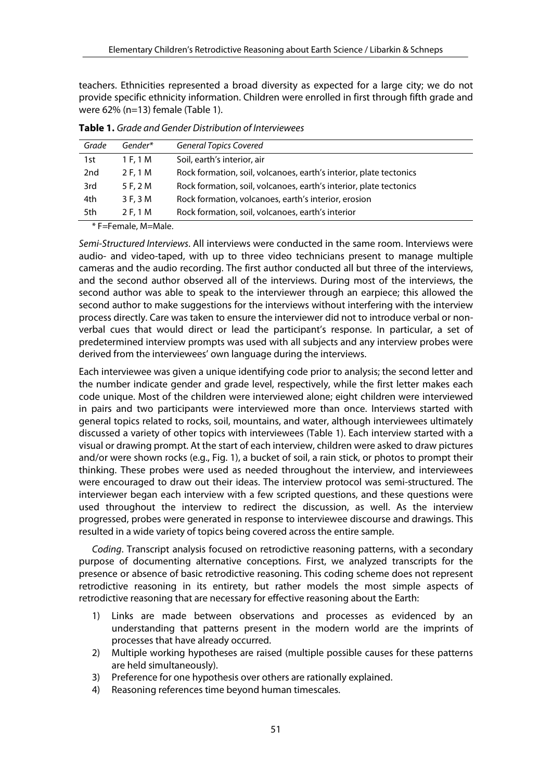teachers. Ethnicities represented a broad diversity as expected for a large city; we do not provide specific ethnicity information. Children were enrolled in first through fifth grade and were 62% (n=13) female (Table 1).

| Grade           | Gender*  | <b>General Topics Covered</b>                                      |
|-----------------|----------|--------------------------------------------------------------------|
| 1st             | 1 F. 1 M | Soil, earth's interior, air                                        |
| 2 <sub>nd</sub> | 2 F, 1 M | Rock formation, soil, volcanoes, earth's interior, plate tectonics |
| 3rd             | 5 F, 2 M | Rock formation, soil, volcanoes, earth's interior, plate tectonics |
| 4th             | 3 F, 3 M | Rock formation, volcanoes, earth's interior, erosion               |
| 5th             | 2 F, 1 M | Rock formation, soil, volcanoes, earth's interior                  |
|                 |          |                                                                    |

**Table 1.** *Grade and Gender Distribution of Interviewees*

\* F=Female, M=Male.

*Semi-Structured Interviews*. All interviews were conducted in the same room. Interviews were audio- and video-taped, with up to three video technicians present to manage multiple cameras and the audio recording. The first author conducted all but three of the interviews, and the second author observed all of the interviews. During most of the interviews, the second author was able to speak to the interviewer through an earpiece; this allowed the second author to make suggestions for the interviews without interfering with the interview process directly. Care was taken to ensure the interviewer did not to introduce verbal or nonverbal cues that would direct or lead the participant's response. In particular, a set of predetermined interview prompts was used with all subjects and any interview probes were derived from the interviewees' own language during the interviews.

Each interviewee was given a unique identifying code prior to analysis; the second letter and the number indicate gender and grade level, respectively, while the first letter makes each code unique. Most of the children were interviewed alone; eight children were interviewed in pairs and two participants were interviewed more than once. Interviews started with general topics related to rocks, soil, mountains, and water, although interviewees ultimately discussed a variety of other topics with interviewees (Table 1). Each interview started with a visual or drawing prompt. At the start of each interview, children were asked to draw pictures and/or were shown rocks (e.g., Fig. 1), a bucket of soil, a rain stick, or photos to prompt their thinking. These probes were used as needed throughout the interview, and interviewees were encouraged to draw out their ideas. The interview protocol was semi-structured. The interviewer began each interview with a few scripted questions, and these questions were used throughout the interview to redirect the discussion, as well. As the interview progressed, probes were generated in response to interviewee discourse and drawings. This resulted in a wide variety of topics being covered across the entire sample.

*Coding*. Transcript analysis focused on retrodictive reasoning patterns, with a secondary purpose of documenting alternative conceptions. First, we analyzed transcripts for the presence or absence of basic retrodictive reasoning. This coding scheme does not represent retrodictive reasoning in its entirety, but rather models the most simple aspects of retrodictive reasoning that are necessary for effective reasoning about the Earth:

- 1) Links are made between observations and processes as evidenced by an understanding that patterns present in the modern world are the imprints of processes that have already occurred.
- 2) Multiple working hypotheses are raised (multiple possible causes for these patterns are held simultaneously).
- 3) Preference for one hypothesis over others are rationally explained.
- 4) Reasoning references time beyond human timescales.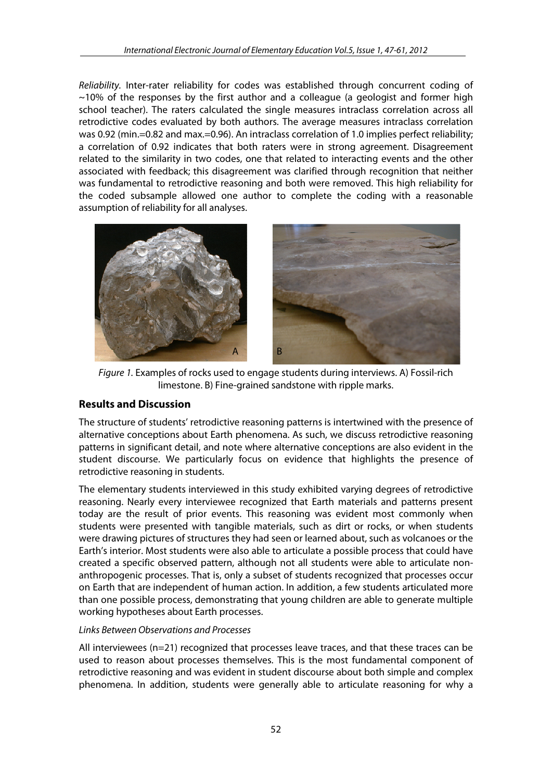*Reliability.* Inter-rater reliability for codes was established through concurrent coding of  $\sim$ 10% of the responses by the first author and a colleague (a geologist and former high school teacher). The raters calculated the single measures intraclass correlation across all retrodictive codes evaluated by both authors. The average measures intraclass correlation was 0.92 (min.=0.82 and max.=0.96). An intraclass correlation of 1.0 implies perfect reliability; a correlation of 0.92 indicates that both raters were in strong agreement. Disagreement related to the similarity in two codes, one that related to interacting events and the other associated with feedback; this disagreement was clarified through recognition that neither was fundamental to retrodictive reasoning and both were removed. This high reliability for the coded subsample allowed one author to complete the coding with a reasonable assumption of reliability for all analyses.



*Figure 1.* Examples of rocks used to engage students during interviews. A) Fossil-rich limestone. B) Fine-grained sandstone with ripple marks.

# **Results and Discussion**

The structure of students' retrodictive reasoning patterns is intertwined with the presence of alternative conceptions about Earth phenomena. As such, we discuss retrodictive reasoning patterns in significant detail, and note where alternative conceptions are also evident in the student discourse. We particularly focus on evidence that highlights the presence of retrodictive reasoning in students.

The elementary students interviewed in this study exhibited varying degrees of retrodictive reasoning. Nearly every interviewee recognized that Earth materials and patterns present today are the result of prior events. This reasoning was evident most commonly when students were presented with tangible materials, such as dirt or rocks, or when students were drawing pictures of structures they had seen or learned about, such as volcanoes or the Earth's interior. Most students were also able to articulate a possible process that could have created a specific observed pattern, although not all students were able to articulate nonanthropogenic processes. That is, only a subset of students recognized that processes occur on Earth that are independent of human action. In addition, a few students articulated more than one possible process, demonstrating that young children are able to generate multiple working hypotheses about Earth processes.

# *Links Between Observations and Processes*

All interviewees (n=21) recognized that processes leave traces, and that these traces can be used to reason about processes themselves. This is the most fundamental component of retrodictive reasoning and was evident in student discourse about both simple and complex phenomena. In addition, students were generally able to articulate reasoning for why a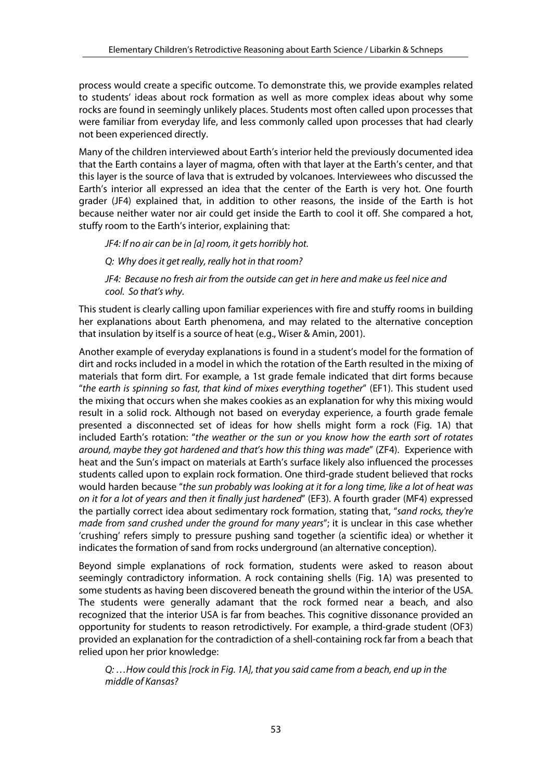process would create a specific outcome. To demonstrate this, we provide examples related to students' ideas about rock formation as well as more complex ideas about why some rocks are found in seemingly unlikely places. Students most often called upon processes that were familiar from everyday life, and less commonly called upon processes that had clearly not been experienced directly.

Many of the children interviewed about Earth's interior held the previously documented idea that the Earth contains a layer of magma, often with that layer at the Earth's center, and that this layer is the source of lava that is extruded by volcanoes. Interviewees who discussed the Earth's interior all expressed an idea that the center of the Earth is very hot. One fourth grader (JF4) explained that, in addition to other reasons, the inside of the Earth is hot because neither water nor air could get inside the Earth to cool it off. She compared a hot, stuffy room to the Earth's interior, explaining that:

*JF4: If no air can be in [a] room, it gets horribly hot.*

*Q: Why does it get really, really hot in that room?* 

*JF4: Because no fresh air from the outside can get in here and make us feel nice and cool. So that's why.* 

This student is clearly calling upon familiar experiences with fire and stuffy rooms in building her explanations about Earth phenomena, and may related to the alternative conception that insulation by itself is a source of heat (e.g., Wiser & Amin, 2001).

Another example of everyday explanations is found in a student's model for the formation of dirt and rocks included in a model in which the rotation of the Earth resulted in the mixing of materials that form dirt. For example, a 1st grade female indicated that dirt forms because "*the earth is spinning so fast, that kind of mixes everything together*" (EF1). This student used the mixing that occurs when she makes cookies as an explanation for why this mixing would result in a solid rock. Although not based on everyday experience, a fourth grade female presented a disconnected set of ideas for how shells might form a rock (Fig. 1A) that included Earth's rotation: "*the weather or the sun or you know how the earth sort of rotates around, maybe they got hardened and that's how this thing was made*" (ZF4). Experience with heat and the Sun's impact on materials at Earth's surface likely also influenced the processes students called upon to explain rock formation. One third-grade student believed that rocks would harden because "*the sun probably was looking at it for a long time, like a lot of heat was on it for a lot of years and then it finally just hardened*" (EF3). A fourth grader (MF4) expressed the partially correct idea about sedimentary rock formation, stating that, "*sand rocks, they're made from sand crushed under the ground for many years*"; it is unclear in this case whether 'crushing' refers simply to pressure pushing sand together (a scientific idea) or whether it indicates the formation of sand from rocks underground (an alternative conception).

Beyond simple explanations of rock formation, students were asked to reason about seemingly contradictory information. A rock containing shells (Fig. 1A) was presented to some students as having been discovered beneath the ground within the interior of the USA. The students were generally adamant that the rock formed near a beach, and also recognized that the interior USA is far from beaches. This cognitive dissonance provided an opportunity for students to reason retrodictively. For example, a third-grade student (OF3) provided an explanation for the contradiction of a shell-containing rock far from a beach that relied upon her prior knowledge:

*Q: …How could this [rock in Fig. 1A], that you said came from a beach, end up in the middle of Kansas?*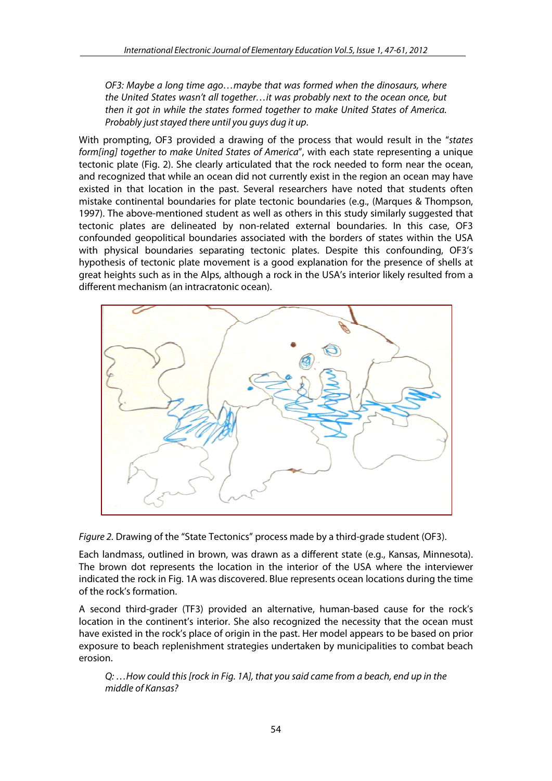*OF3: Maybe a long time ago…maybe that was formed when the dinosaurs, where the United States wasn't all together…it was probably next to the ocean once, but then it got in while the states formed together to make United States of America. Probably just stayed there until you guys dug it up*.

With prompting, OF3 provided a drawing of the process that would result in the "*states form[ing] together to make United States of America*", with each state representing a unique tectonic plate (Fig. 2). She clearly articulated that the rock needed to form near the ocean, and recognized that while an ocean did not currently exist in the region an ocean may have existed in that location in the past. Several researchers have noted that students often mistake continental boundaries for plate tectonic boundaries (e.g., (Marques & Thompson, 1997). The above-mentioned student as well as others in this study similarly suggested that tectonic plates are delineated by non-related external boundaries. In this case, OF3 confounded geopolitical boundaries associated with the borders of states within the USA with physical boundaries separating tectonic plates. Despite this confounding, OF3's hypothesis of tectonic plate movement is a good explanation for the presence of shells at great heights such as in the Alps, although a rock in the USA's interior likely resulted from a different mechanism (an intracratonic ocean).



*Figure 2.* Drawing of the "State Tectonics" process made by a third-grade student (OF3).

Each landmass, outlined in brown, was drawn as a different state (e.g., Kansas, Minnesota). The brown dot represents the location in the interior of the USA where the interviewer indicated the rock in Fig. 1A was discovered. Blue represents ocean locations during the time of the rock's formation.

A second third-grader (TF3) provided an alternative, human-based cause for the rock's location in the continent's interior. She also recognized the necessity that the ocean must have existed in the rock's place of origin in the past. Her model appears to be based on prior exposure to beach replenishment strategies undertaken by municipalities to combat beach erosion.

*Q: …How could this [rock in Fig. 1A], that you said came from a beach, end up in the middle of Kansas?*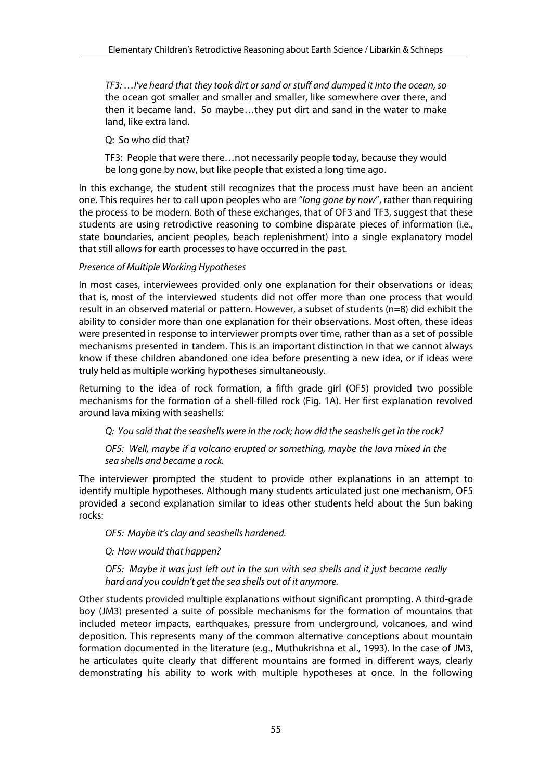*TF3: …I've heard that they took dirt or sand or stuff and dumped it into the ocean, so*  the ocean got smaller and smaller and smaller, like somewhere over there, and then it became land. So maybe…they put dirt and sand in the water to make land, like extra land.

Q: So who did that?

TF3: People that were there…not necessarily people today, because they would be long gone by now, but like people that existed a long time ago.

In this exchange, the student still recognizes that the process must have been an ancient one. This requires her to call upon peoples who are "*long gone by now*", rather than requiring the process to be modern. Both of these exchanges, that of OF3 and TF3, suggest that these students are using retrodictive reasoning to combine disparate pieces of information (i.e., state boundaries, ancient peoples, beach replenishment) into a single explanatory model that still allows for earth processes to have occurred in the past.

#### *Presence of Multiple Working Hypotheses*

In most cases, interviewees provided only one explanation for their observations or ideas; that is, most of the interviewed students did not offer more than one process that would result in an observed material or pattern. However, a subset of students (n=8) did exhibit the ability to consider more than one explanation for their observations. Most often, these ideas were presented in response to interviewer prompts over time, rather than as a set of possible mechanisms presented in tandem. This is an important distinction in that we cannot always know if these children abandoned one idea before presenting a new idea, or if ideas were truly held as multiple working hypotheses simultaneously.

Returning to the idea of rock formation, a fifth grade girl (OF5) provided two possible mechanisms for the formation of a shell-filled rock (Fig. 1A). Her first explanation revolved around lava mixing with seashells:

*Q: You said that the seashells were in the rock; how did the seashells get in the rock?* 

*OF5: Well, maybe if a volcano erupted or something, maybe the lava mixed in the sea shells and became a rock.*

The interviewer prompted the student to provide other explanations in an attempt to identify multiple hypotheses. Although many students articulated just one mechanism, OF5 provided a second explanation similar to ideas other students held about the Sun baking rocks:

*OF5: Maybe it's clay and seashells hardened.* 

*Q: How would that happen?* 

*OF5: Maybe it was just left out in the sun with sea shells and it just became really hard and you couldn't get the sea shells out of it anymore.* 

Other students provided multiple explanations without significant prompting. A third-grade boy (JM3) presented a suite of possible mechanisms for the formation of mountains that included meteor impacts, earthquakes, pressure from underground, volcanoes, and wind deposition. This represents many of the common alternative conceptions about mountain formation documented in the literature (e.g., Muthukrishna et al., 1993). In the case of JM3, he articulates quite clearly that different mountains are formed in different ways, clearly demonstrating his ability to work with multiple hypotheses at once. In the following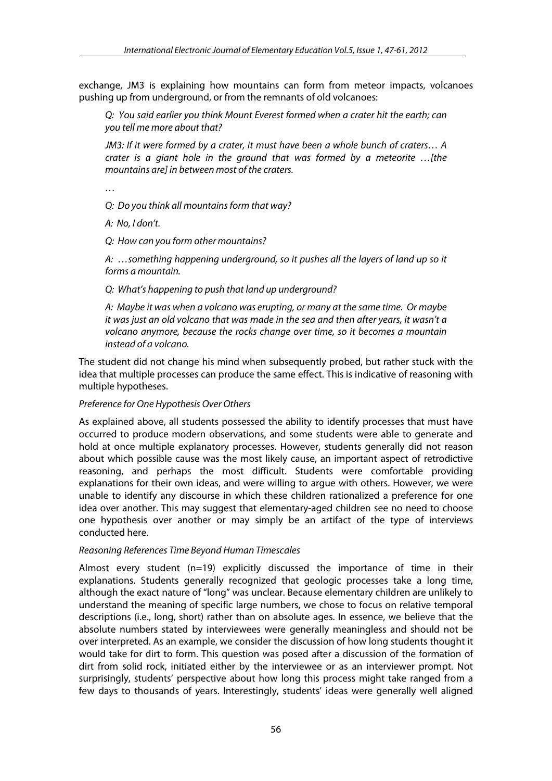exchange, JM3 is explaining how mountains can form from meteor impacts, volcanoes pushing up from underground, or from the remnants of old volcanoes:

*Q: You said earlier you think Mount Everest formed when a crater hit the earth; can you tell me more about that?* 

*JM3: If it were formed by a crater, it must have been a whole bunch of craters… A crater is a giant hole in the ground that was formed by a meteorite …[the mountains are] in between most of the craters.* 

*…* 

*Q: Do you think all mountains form that way?* 

*A: No, I don't.* 

*Q: How can you form other mountains?* 

*A: …something happening underground, so it pushes all the layers of land up so it forms a mountain.* 

*Q: What's happening to push that land up underground?* 

*A: Maybe it was when a volcano was erupting, or many at the same time. Or maybe it was just an old volcano that was made in the sea and then after years, it wasn't a volcano anymore, because the rocks change over time, so it becomes a mountain instead of a volcano.*

The student did not change his mind when subsequently probed, but rather stuck with the idea that multiple processes can produce the same effect. This is indicative of reasoning with multiple hypotheses.

#### *Preference for One Hypothesis Over Others*

As explained above, all students possessed the ability to identify processes that must have occurred to produce modern observations, and some students were able to generate and hold at once multiple explanatory processes. However, students generally did not reason about which possible cause was the most likely cause, an important aspect of retrodictive reasoning, and perhaps the most difficult. Students were comfortable providing explanations for their own ideas, and were willing to argue with others. However, we were unable to identify any discourse in which these children rationalized a preference for one idea over another. This may suggest that elementary-aged children see no need to choose one hypothesis over another or may simply be an artifact of the type of interviews conducted here.

#### *Reasoning References Time Beyond Human Timescales*

Almost every student (n=19) explicitly discussed the importance of time in their explanations. Students generally recognized that geologic processes take a long time, although the exact nature of "long" was unclear. Because elementary children are unlikely to understand the meaning of specific large numbers, we chose to focus on relative temporal descriptions (i.e., long, short) rather than on absolute ages. In essence, we believe that the absolute numbers stated by interviewees were generally meaningless and should not be over interpreted. As an example, we consider the discussion of how long students thought it would take for dirt to form. This question was posed after a discussion of the formation of dirt from solid rock, initiated either by the interviewee or as an interviewer prompt. Not surprisingly, students' perspective about how long this process might take ranged from a few days to thousands of years. Interestingly, students' ideas were generally well aligned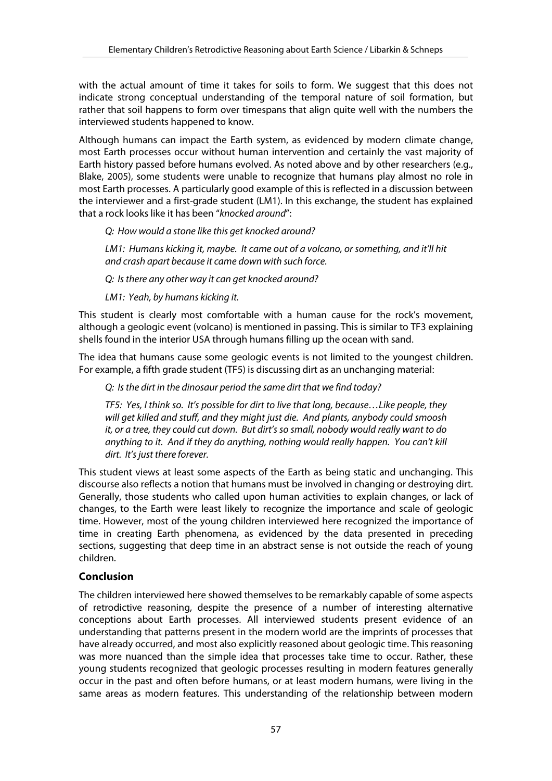with the actual amount of time it takes for soils to form. We suggest that this does not indicate strong conceptual understanding of the temporal nature of soil formation, but rather that soil happens to form over timespans that align quite well with the numbers the interviewed students happened to know.

Although humans can impact the Earth system, as evidenced by modern climate change, most Earth processes occur without human intervention and certainly the vast majority of Earth history passed before humans evolved. As noted above and by other researchers (e.g., Blake, 2005), some students were unable to recognize that humans play almost no role in most Earth processes. A particularly good example of this is reflected in a discussion between the interviewer and a first-grade student (LM1). In this exchange, the student has explained that a rock looks like it has been "*knocked around*":

*Q: How would a stone like this get knocked around?* 

*LM1: Humans kicking it, maybe. It came out of a volcano, or something, and it'll hit and crash apart because it came down with such force.*

*Q: Is there any other way it can get knocked around?* 

*LM1: Yeah, by humans kicking it.*

This student is clearly most comfortable with a human cause for the rock's movement, although a geologic event (volcano) is mentioned in passing. This is similar to TF3 explaining shells found in the interior USA through humans filling up the ocean with sand.

The idea that humans cause some geologic events is not limited to the youngest children. For example, a fifth grade student (TF5) is discussing dirt as an unchanging material:

*Q: Is the dirt in the dinosaur period the same dirt that we find today?* 

*TF5: Yes, I think so. It's possible for dirt to live that long, because…Like people, they will get killed and stuff, and they might just die. And plants, anybody could smoosh it, or a tree, they could cut down. But dirt's so small, nobody would really want to do anything to it. And if they do anything, nothing would really happen. You can't kill dirt. It's just there forever.*

This student views at least some aspects of the Earth as being static and unchanging. This discourse also reflects a notion that humans must be involved in changing or destroying dirt. Generally, those students who called upon human activities to explain changes, or lack of changes, to the Earth were least likely to recognize the importance and scale of geologic time. However, most of the young children interviewed here recognized the importance of time in creating Earth phenomena, as evidenced by the data presented in preceding sections, suggesting that deep time in an abstract sense is not outside the reach of young children.

# **Conclusion**

The children interviewed here showed themselves to be remarkably capable of some aspects of retrodictive reasoning, despite the presence of a number of interesting alternative conceptions about Earth processes. All interviewed students present evidence of an understanding that patterns present in the modern world are the imprints of processes that have already occurred, and most also explicitly reasoned about geologic time. This reasoning was more nuanced than the simple idea that processes take time to occur. Rather, these young students recognized that geologic processes resulting in modern features generally occur in the past and often before humans, or at least modern humans, were living in the same areas as modern features. This understanding of the relationship between modern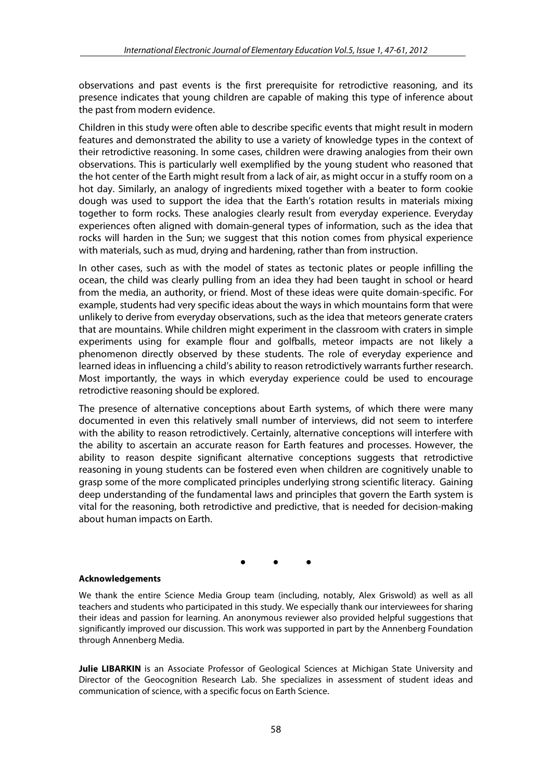observations and past events is the first prerequisite for retrodictive reasoning, and its presence indicates that young children are capable of making this type of inference about the past from modern evidence.

Children in this study were often able to describe specific events that might result in modern features and demonstrated the ability to use a variety of knowledge types in the context of their retrodictive reasoning. In some cases, children were drawing analogies from their own observations. This is particularly well exemplified by the young student who reasoned that the hot center of the Earth might result from a lack of air, as might occur in a stuffy room on a hot day. Similarly, an analogy of ingredients mixed together with a beater to form cookie dough was used to support the idea that the Earth's rotation results in materials mixing together to form rocks. These analogies clearly result from everyday experience. Everyday experiences often aligned with domain-general types of information, such as the idea that rocks will harden in the Sun; we suggest that this notion comes from physical experience with materials, such as mud, drying and hardening, rather than from instruction.

In other cases, such as with the model of states as tectonic plates or people infilling the ocean, the child was clearly pulling from an idea they had been taught in school or heard from the media, an authority, or friend. Most of these ideas were quite domain-specific. For example, students had very specific ideas about the ways in which mountains form that were unlikely to derive from everyday observations, such as the idea that meteors generate craters that are mountains. While children might experiment in the classroom with craters in simple experiments using for example flour and golfballs, meteor impacts are not likely a phenomenon directly observed by these students. The role of everyday experience and learned ideas in influencing a child's ability to reason retrodictively warrants further research. Most importantly, the ways in which everyday experience could be used to encourage retrodictive reasoning should be explored.

The presence of alternative conceptions about Earth systems, of which there were many documented in even this relatively small number of interviews, did not seem to interfere with the ability to reason retrodictively. Certainly, alternative conceptions will interfere with the ability to ascertain an accurate reason for Earth features and processes. However, the ability to reason despite significant alternative conceptions suggests that retrodictive reasoning in young students can be fostered even when children are cognitively unable to grasp some of the more complicated principles underlying strong scientific literacy. Gaining deep understanding of the fundamental laws and principles that govern the Earth system is vital for the reasoning, both retrodictive and predictive, that is needed for decision-making about human impacts on Earth.

• • •

#### **Acknowledgements**

We thank the entire Science Media Group team (including, notably, Alex Griswold) as well as all teachers and students who participated in this study. We especially thank our interviewees for sharing their ideas and passion for learning. An anonymous reviewer also provided helpful suggestions that significantly improved our discussion. This work was supported in part by the Annenberg Foundation through Annenberg Media.

**Julie LIBARKIN** is an Associate Professor of Geological Sciences at Michigan State University and Director of the Geocognition Research Lab. She specializes in assessment of student ideas and communication of science, with a specific focus on Earth Science.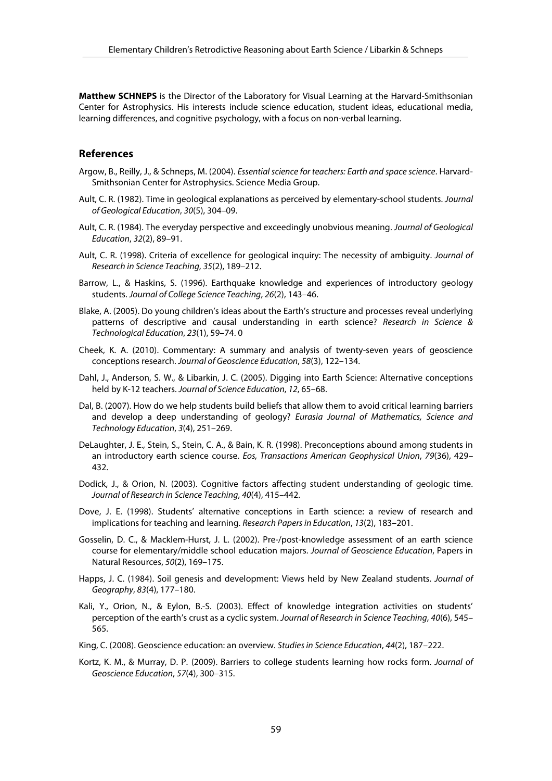**Matthew SCHNEPS** is the Director of the Laboratory for Visual Learning at the Harvard-Smithsonian Center for Astrophysics. His interests include science education, student ideas, educational media, learning differences, and cognitive psychology, with a focus on non-verbal learning.

#### **References**

- Argow, B., Reilly, J., & Schneps, M. (2004). *Essential science for teachers: Earth and space science*. Harvard-Smithsonian Center for Astrophysics. Science Media Group.
- Ault, C. R. (1982). Time in geological explanations as perceived by elementary-school students. *Journal of Geological Education*, *30*(5), 304–09.
- Ault, C. R. (1984). The everyday perspective and exceedingly unobvious meaning. *Journal of Geological Education*, *32*(2), 89–91.
- Ault, C. R. (1998). Criteria of excellence for geological inquiry: The necessity of ambiguity. *Journal of Research in Science Teaching*, *35*(2), 189–212.
- Barrow, L., & Haskins, S. (1996). Earthquake knowledge and experiences of introductory geology students. *Journal of College Science Teaching*, *26*(2), 143–46.
- Blake, A. (2005). Do young children's ideas about the Earth's structure and processes reveal underlying patterns of descriptive and causal understanding in earth science? *Research in Science & Technological Education*, *23*(1), 59–74. 0
- Cheek, K. A. (2010). Commentary: A summary and analysis of twenty-seven years of geoscience conceptions research. *Journal of Geoscience Education*, *58*(3), 122–134.
- Dahl, J., Anderson, S. W., & Libarkin, J. C. (2005). Digging into Earth Science: Alternative conceptions held by K-12 teachers. *Journal of Science Education*, *12*, 65–68.
- Dal, B. (2007). How do we help students build beliefs that allow them to avoid critical learning barriers and develop a deep understanding of geology? *Eurasia Journal of Mathematics, Science and Technology Education*, *3*(4), 251–269.
- DeLaughter, J. E., Stein, S., Stein, C. A., & Bain, K. R. (1998). Preconceptions abound among students in an introductory earth science course. *Eos, Transactions American Geophysical Union*, *79*(36), 429– 432.
- Dodick, J., & Orion, N. (2003). Cognitive factors affecting student understanding of geologic time. *Journal of Research in Science Teaching*, *40*(4), 415–442.
- Dove, J. E. (1998). Students' alternative conceptions in Earth science: a review of research and implications for teaching and learning. *Research Papers in Education*, *13*(2), 183–201.
- Gosselin, D. C., & Macklem-Hurst, J. L. (2002). Pre-/post-knowledge assessment of an earth science course for elementary/middle school education majors. *Journal of Geoscience Education*, Papers in Natural Resources, *50*(2), 169–175.
- Happs, J. C. (1984). Soil genesis and development: Views held by New Zealand students. *Journal of Geography*, *83*(4), 177–180.
- Kali, Y., Orion, N., & Eylon, B.-S. (2003). Effect of knowledge integration activities on students' perception of the earth's crust as a cyclic system. *Journal of Research in Science Teaching*, *40*(6), 545– 565.
- King, C. (2008). Geoscience education: an overview. *Studies in Science Education*, *44*(2), 187–222.
- Kortz, K. M., & Murray, D. P. (2009). Barriers to college students learning how rocks form. *Journal of Geoscience Education*, *57*(4), 300–315.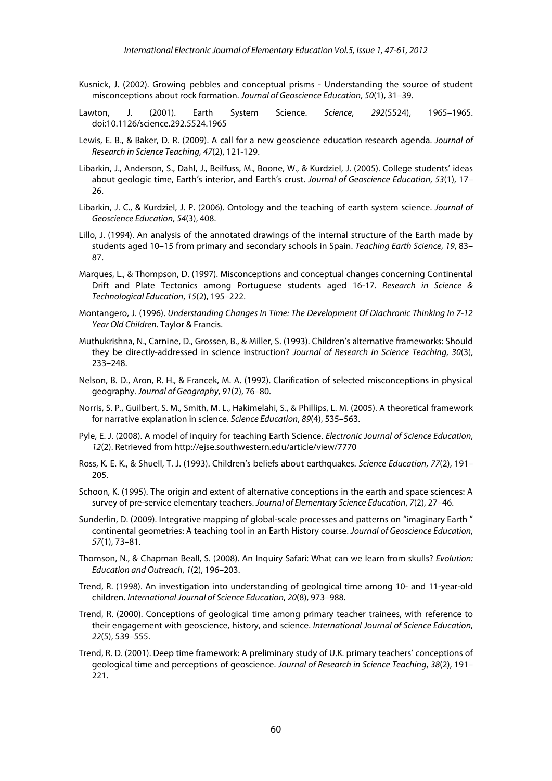- Kusnick, J. (2002). Growing pebbles and conceptual prisms Understanding the source of student misconceptions about rock formation. *Journal of Geoscience Education*, *50*(1), 31–39.
- Lawton, J. (2001). Earth System Science. *Science*, *292*(5524), 1965–1965. doi:10.1126/science.292.5524.1965
- Lewis, E. B., & Baker, D. R. (2009). A call for a new geoscience education research agenda. *Journal of Research in Science Teaching*, *47*(2), 121-129.
- Libarkin, J., Anderson, S., Dahl, J., Beilfuss, M., Boone, W., & Kurdziel, J. (2005). College students' ideas about geologic time, Earth's interior, and Earth's crust. *Journal of Geoscience Education*, *53*(1), 17– 26.
- Libarkin, J. C., & Kurdziel, J. P. (2006). Ontology and the teaching of earth system science. *Journal of Geoscience Education*, *54*(3), 408.
- Lillo, J. (1994). An analysis of the annotated drawings of the internal structure of the Earth made by students aged 10–15 from primary and secondary schools in Spain. *Teaching Earth Science*, *19*, 83– 87.
- Marques, L., & Thompson, D. (1997). Misconceptions and conceptual changes concerning Continental Drift and Plate Tectonics among Portuguese students aged 16‐17. *Research in Science & Technological Education*, *15*(2), 195–222.
- Montangero, J. (1996). *Understanding Changes In Time: The Development Of Diachronic Thinking In 7-12 Year Old Children*. Taylor & Francis.
- Muthukrishna, N., Carnine, D., Grossen, B., & Miller, S. (1993). Children's alternative frameworks: Should they be directly-addressed in science instruction? *Journal of Research in Science Teaching*, *30*(3), 233–248.
- Nelson, B. D., Aron, R. H., & Francek, M. A. (1992). Clarification of selected misconceptions in physical geography. *Journal of Geography*, *91*(2), 76–80.
- Norris, S. P., Guilbert, S. M., Smith, M. L., Hakimelahi, S., & Phillips, L. M. (2005). A theoretical framework for narrative explanation in science. *Science Education*, *89*(4), 535–563.
- Pyle, E. J. (2008). A model of inquiry for teaching Earth Science. *Electronic Journal of Science Education*, *12*(2). Retrieved from http://ejse.southwestern.edu/article/view/7770
- Ross, K. E. K., & Shuell, T. J. (1993). Children's beliefs about earthquakes. *Science Education*, *77*(2), 191– 205.
- Schoon, K. (1995). The origin and extent of alternative conceptions in the earth and space sciences: A survey of pre-service elementary teachers. *Journal of Elementary Science Education*, *7*(2), 27–46.
- Sunderlin, D. (2009). Integrative mapping of global-scale processes and patterns on "imaginary Earth " continental geometries: A teaching tool in an Earth History course. *Journal of Geoscience Education*, *57*(1), 73–81.
- Thomson, N., & Chapman Beall, S. (2008). An Inquiry Safari: What can we learn from skulls? *Evolution: Education and Outreach*, *1*(2), 196–203.
- Trend, R. (1998). An investigation into understanding of geological time among 10‐ and 11‐year‐old children. *International Journal of Science Education*, *20*(8), 973–988.
- Trend, R. (2000). Conceptions of geological time among primary teacher trainees, with reference to their engagement with geoscience, history, and science. *International Journal of Science Education*, *22*(5), 539–555.
- Trend, R. D. (2001). Deep time framework: A preliminary study of U.K. primary teachers' conceptions of geological time and perceptions of geoscience. *Journal of Research in Science Teaching*, *38*(2), 191– 221.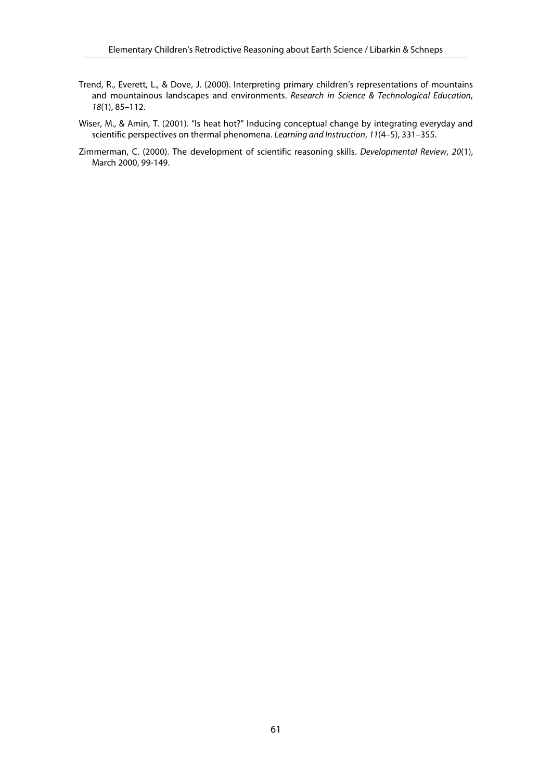- Trend, R., Everett, L., & Dove, J. (2000). Interpreting primary children's representations of mountains and mountainous landscapes and environments. *Research in Science & Technological Education*, *18*(1), 85–112.
- Wiser, M., & Amin, T. (2001). "Is heat hot?" Inducing conceptual change by integrating everyday and scientific perspectives on thermal phenomena. *Learning and Instruction*, *11*(4–5), 331–355.
- Zimmerman, C. (2000). The development of scientific reasoning skills. *Developmental Review*, *20*(1), March 2000, 99-149.